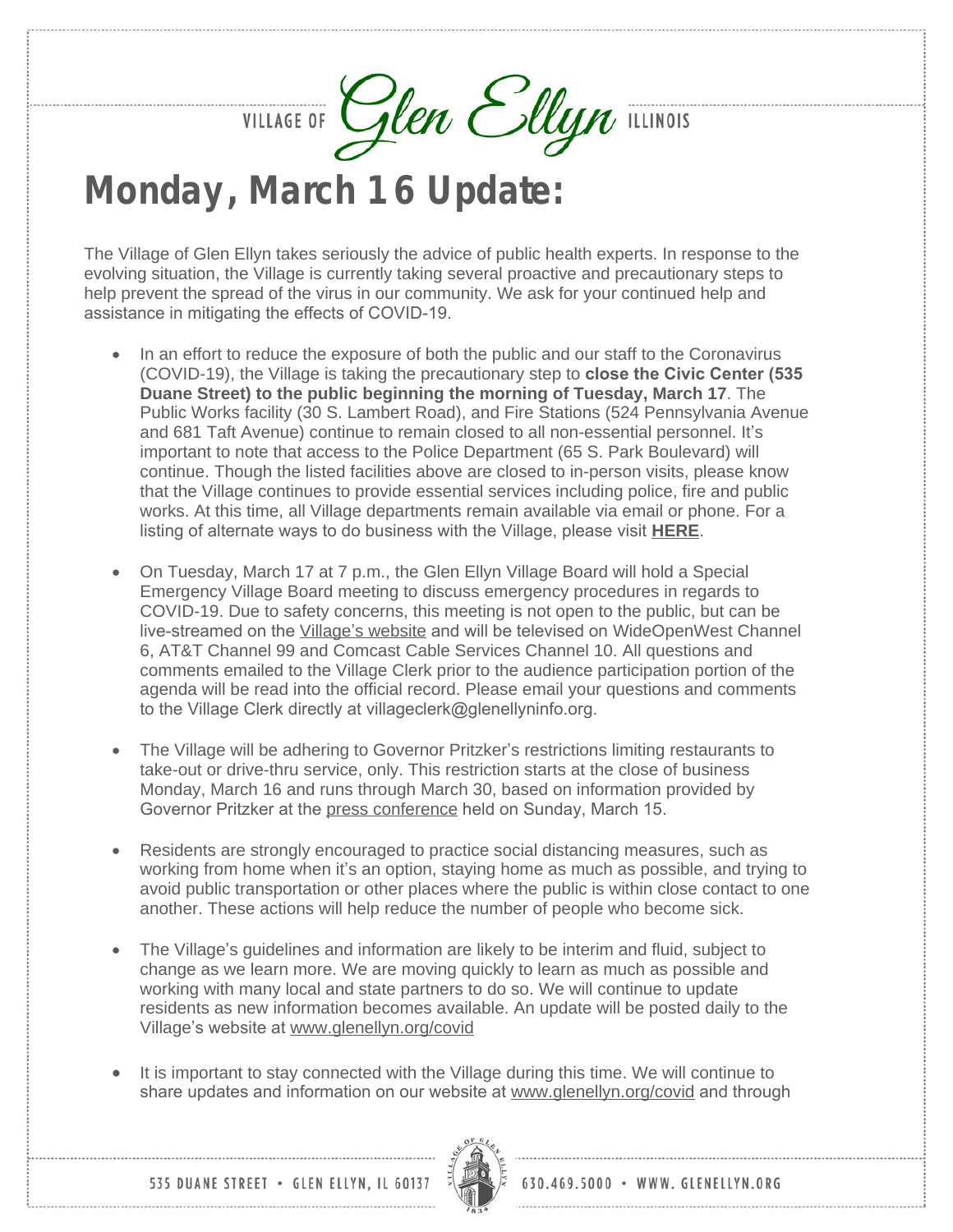VILLAGE OF Glen Ellyn ILLINOIS

## **Monday, March 16 Update:**

The Village of Glen Ellyn takes seriously the advice of public health experts. In response to the evolving situation, the Village is currently taking several proactive and precautionary steps to help prevent the spread of the virus in our community. We ask for your continued help and assistance in mitigating the effects of COVID-19.

- In an effort to reduce the exposure of both the public and our staff to the Coronavirus (COVID-19), the Village is taking the precautionary step to **close the Civic Center (535 Duane Street) to the public beginning the morning of Tuesday, March 17**. The Public Works facility (30 S. Lambert Road), and Fire Stations (524 Pennsylvania Avenue and 681 Taft Avenue) continue to remain closed to all non-essential personnel. It's important to note that access to the Police Department (65 S. Park Boulevard) will continue. Though the listed facilities above are closed to in-person visits, please know that the Village continues to provide essential services including police, fire and public works. At this time, all Village departments remain available via email or phone. For a listing of alternate ways to do business with the Village, please visit **[HERE](https://www.glenellyn.org/DocumentCenter/View/1645/Village-Facility-Closures-List-of-Services-Provided-by-Village)**.
- On Tuesday, March 17 at 7 p.m., the Glen Ellyn Village Board will hold a Special Emergency Village Board meeting to discuss emergency procedures in regards to COVID-19. Due to safety concerns, this meeting is not open to the public, but can be live-streamed on the *Village'[s website](http://glenellynvillageil.iqm2.com/Citizens/default.aspx)* and will be televised on WideOpenWest Channel 6, AT&T Channel 99 and Comcast Cable Services Channel 10. All questions and comments emailed to the Village Clerk prior to the audience participation portion of the agenda will be read into the official record. Please email your questions and comments to the Village Clerk directly at villageclerk@glenellyninfo.org.
- The Village will be adhering to Governor Pritzker's restrictions limiting restaurants to take-out or drive-thru service, only. This restriction starts at the close of business Monday, March 16 and runs through March 30, based on information provided by Governor Pritzker at the [press conference](https://www2.illinois.gov/Pages/news-item.aspx?ReleaseID=21254) held on Sunday, March 15.
- Residents are strongly encouraged to practice social distancing measures, such as working from home when it's an option, staying home as much as possible, and trying to avoid public transportation or other places where the public is within close contact to one another. These actions will help reduce the number of people who become sick.
- The Village's guidelines and information are likely to be interim and fluid, subject to change as we learn more. We are moving quickly to learn as much as possible and working with many local and state partners to do so. We will continue to update residents as new information becomes available. An update will be posted daily to the Village's website at [www.glenellyn.org/covid](http://www.glenellyn.org/covid)
- It is important to stay connected with the Village during this time. We will continue to share updates and information on our website at [www.glenellyn.org/covid](http://www.glenellyn.org/covid) and through



630.469.5000 · WWW. GLENELLYN.ORG